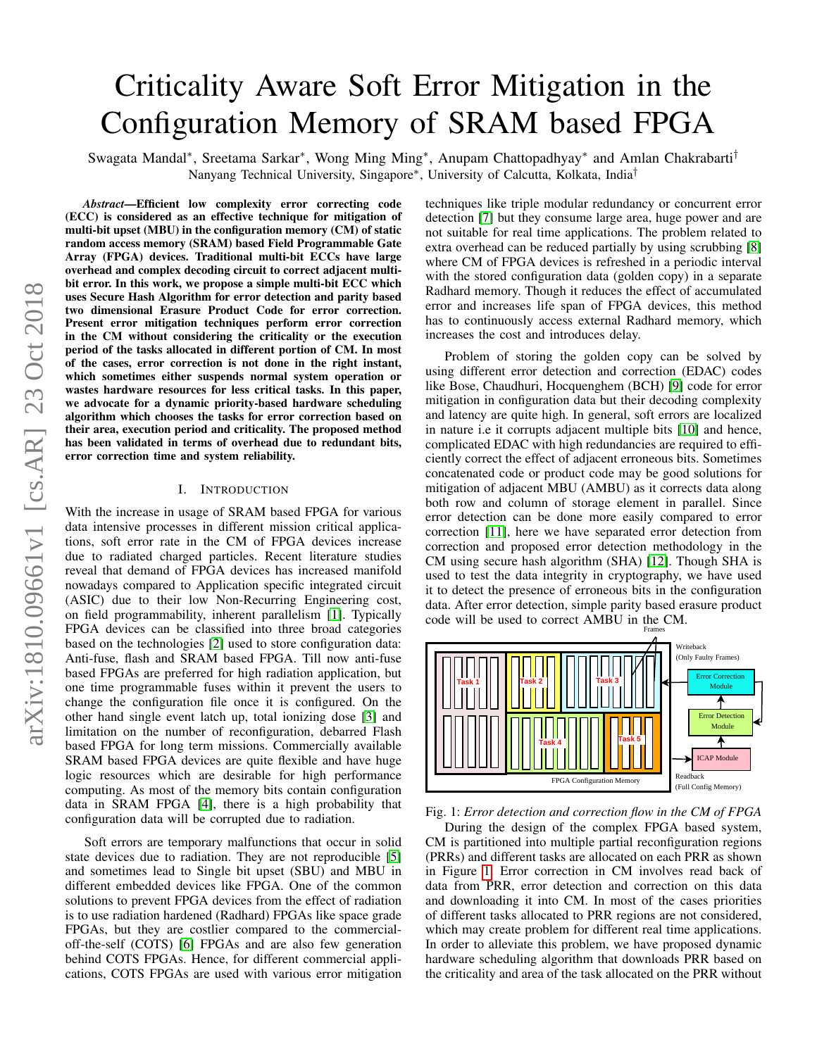# arXiv:1810.09661v1 [cs.AR] 23 Oct 2018 arXiv:1810.09661v1 [cs.AR] 23 Oct 2018

# Criticality Aware Soft Error Mitigation in the Configuration Memory of SRAM based FPGA

Swagata Mandal<sup>∗</sup>, Sreetama Sarkar<sup>∗</sup>, Wong Ming Ming<sup>∗</sup>, Anupam Chattopadhyay<sup>∗</sup> and Amlan Chakrabarti<sup>†</sup> Nanyang Technical University, Singapore<sup>∗</sup> , University of Calcutta, Kolkata, India†

*Abstract*—Efficient low complexity error correcting code (ECC) is considered as an effective technique for mitigation of multi-bit upset (MBU) in the configuration memory (CM) of static random access memory (SRAM) based Field Programmable Gate Array (FPGA) devices. Traditional multi-bit ECCs have large overhead and complex decoding circuit to correct adjacent multibit error. In this work, we propose a simple multi-bit ECC which uses Secure Hash Algorithm for error detection and parity based two dimensional Erasure Product Code for error correction. Present error mitigation techniques perform error correction in the CM without considering the criticality or the execution period of the tasks allocated in different portion of CM. In most of the cases, error correction is not done in the right instant, which sometimes either suspends normal system operation or wastes hardware resources for less critical tasks. In this paper, we advocate for a dynamic priority-based hardware scheduling algorithm which chooses the tasks for error correction based on their area, execution period and criticality. The proposed method has been validated in terms of overhead due to redundant bits, error correction time and system reliability.

### I. INTRODUCTION

With the increase in usage of SRAM based FPGA for various data intensive processes in different mission critical applications, soft error rate in the CM of FPGA devices increase due to radiated charged particles. Recent literature studies reveal that demand of FPGA devices has increased manifold nowadays compared to Application specific integrated circuit (ASIC) due to their low Non-Recurring Engineering cost, on field programmability, inherent parallelism [\[1\]](#page-5-0). Typically FPGA devices can be classified into three broad categories based on the technologies [\[2\]](#page-5-1) used to store configuration data: Anti-fuse, flash and SRAM based FPGA. Till now anti-fuse based FPGAs are preferred for high radiation application, but one time programmable fuses within it prevent the users to change the configuration file once it is configured. On the other hand single event latch up, total ionizing dose [\[3\]](#page-5-2) and limitation on the number of reconfiguration, debarred Flash based FPGA for long term missions. Commercially available SRAM based FPGA devices are quite flexible and have huge logic resources which are desirable for high performance computing. As most of the memory bits contain configuration data in SRAM FPGA [\[4\]](#page-5-3), there is a high probability that configuration data will be corrupted due to radiation.

Soft errors are temporary malfunctions that occur in solid state devices due to radiation. They are not reproducible [\[5\]](#page-5-4) and sometimes lead to Single bit upset (SBU) and MBU in different embedded devices like FPGA. One of the common solutions to prevent FPGA devices from the effect of radiation is to use radiation hardened (Radhard) FPGAs like space grade FPGAs, but they are costlier compared to the commercialoff-the-self (COTS) [\[6\]](#page-5-5) FPGAs and are also few generation behind COTS FPGAs. Hence, for different commercial applications, COTS FPGAs are used with various error mitigation techniques like triple modular redundancy or concurrent error detection [\[7\]](#page-5-6) but they consume large area, huge power and are not suitable for real time applications. The problem related to extra overhead can be reduced partially by using scrubbing [\[8\]](#page-5-7) where CM of FPGA devices is refreshed in a periodic interval with the stored configuration data (golden copy) in a separate Radhard memory. Though it reduces the effect of accumulated error and increases life span of FPGA devices, this method has to continuously access external Radhard memory, which increases the cost and introduces delay.

Problem of storing the golden copy can be solved by using different error detection and correction (EDAC) codes like Bose, Chaudhuri, Hocquenghem (BCH) [\[9\]](#page-5-8) code for error mitigation in configuration data but their decoding complexity and latency are quite high. In general, soft errors are localized in nature i.e it corrupts adjacent multiple bits [\[10\]](#page-5-9) and hence, complicated EDAC with high redundancies are required to efficiently correct the effect of adjacent erroneous bits. Sometimes concatenated code or product code may be good solutions for mitigation of adjacent MBU (AMBU) as it corrects data along both row and column of storage element in parallel. Since error detection can be done more easily compared to error correction [\[11\]](#page-5-10), here we have separated error detection from correction and proposed error detection methodology in the CM using secure hash algorithm (SHA) [\[12\]](#page-5-11). Though SHA is used to test the data integrity in cryptography, we have used it to detect the presence of erroneous bits in the configuration data. After error detection, simple parity based erasure product code will be used to correct AMBU in the CM.

<span id="page-0-0"></span>

Fig. 1: *Error detection and correction flow in the CM of FPGA*

During the design of the complex FPGA based system, CM is partitioned into multiple partial reconfiguration regions (PRRs) and different tasks are allocated on each PRR as shown in Figure [1.](#page-0-0) Error correction in CM involves read back of data from PRR, error detection and correction on this data and downloading it into CM. In most of the cases priorities of different tasks allocated to PRR regions are not considered, which may create problem for different real time applications. In order to alleviate this problem, we have proposed dynamic hardware scheduling algorithm that downloads PRR based on the criticality and area of the task allocated on the PRR without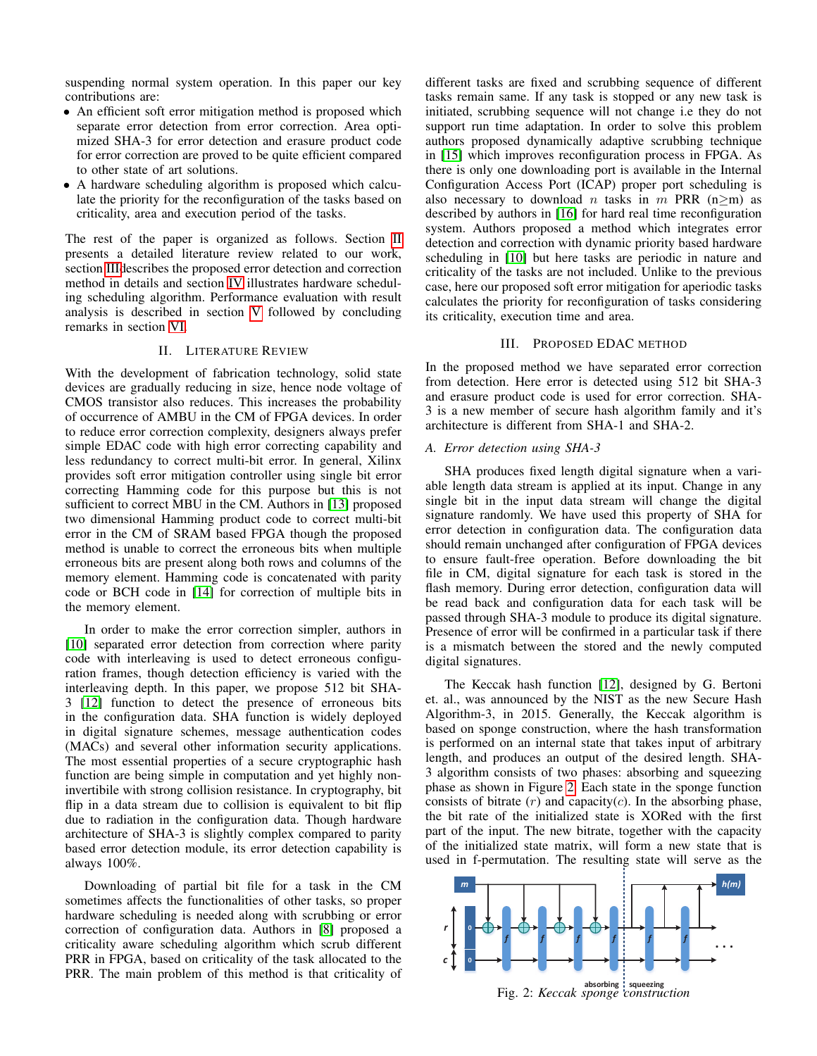suspending normal system operation. In this paper our key contributions are:

- An efficient soft error mitigation method is proposed which separate error detection from error correction. Area optimized SHA-3 for error detection and erasure product code for error correction are proved to be quite efficient compared to other state of art solutions.
- A hardware scheduling algorithm is proposed which calculate the priority for the reconfiguration of the tasks based on criticality, area and execution period of the tasks.

The rest of the paper is organized as follows. Section [II](#page-1-0) presents a detailed literature review related to our work, section [IIId](#page-1-1)escribes the proposed error detection and correction method in details and section [IV](#page-2-0) illustrates hardware scheduling scheduling algorithm. Performance evaluation with result analysis is described in section [V](#page-4-0) followed by concluding remarks in section [VI.](#page-5-12)

# II. LITERATURE REVIEW

<span id="page-1-0"></span>With the development of fabrication technology, solid state devices are gradually reducing in size, hence node voltage of CMOS transistor also reduces. This increases the probability of occurrence of AMBU in the CM of FPGA devices. In order to reduce error correction complexity, designers always prefer simple EDAC code with high error correcting capability and less redundancy to correct multi-bit error. In general, Xilinx provides soft error mitigation controller using single bit error correcting Hamming code for this purpose but this is not sufficient to correct MBU in the CM. Authors in [\[13\]](#page-5-13) proposed two dimensional Hamming product code to correct multi-bit error in the CM of SRAM based FPGA though the proposed method is unable to correct the erroneous bits when multiple erroneous bits are present along both rows and columns of the memory element. Hamming code is concatenated with parity code or BCH code in [\[14\]](#page-5-14) for correction of multiple bits in the memory element.

In order to make the error correction simpler, authors in [\[10\]](#page-5-9) separated error detection from correction where parity code with interleaving is used to detect erroneous configuration frames, though detection efficiency is varied with the interleaving depth. In this paper, we propose 512 bit SHA-3 [\[12\]](#page-5-11) function to detect the presence of erroneous bits in the configuration data. SHA function is widely deployed in digital signature schemes, message authentication codes (MACs) and several other information security applications. The most essential properties of a secure cryptographic hash function are being simple in computation and yet highly noninvertibile with strong collision resistance. In cryptography, bit flip in a data stream due to collision is equivalent to bit flip due to radiation in the configuration data. Though hardware architecture of SHA-3 is slightly complex compared to parity based error detection module, its error detection capability is always 100%.

Downloading of partial bit file for a task in the CM sometimes affects the functionalities of other tasks, so proper hardware scheduling is needed along with scrubbing or error correction of configuration data. Authors in [\[8\]](#page-5-7) proposed a criticality aware scheduling algorithm which scrub different PRR in FPGA, based on criticality of the task allocated to the PRR. The main problem of this method is that criticality of

different tasks are fixed and scrubbing sequence of different tasks remain same. If any task is stopped or any new task is initiated, scrubbing sequence will not change i.e they do not support run time adaptation. In order to solve this problem authors proposed dynamically adaptive scrubbing technique in [\[15\]](#page-5-15) which improves reconfiguration process in FPGA. As there is only one downloading port is available in the Internal Configuration Access Port (ICAP) proper port scheduling is also necessary to download *n* tasks in  $m$  PRR (n≥m) as described by authors in [\[16\]](#page-5-16) for hard real time reconfiguration system. Authors proposed a method which integrates error detection and correction with dynamic priority based hardware scheduling in [\[10\]](#page-5-9) but here tasks are periodic in nature and criticality of the tasks are not included. Unlike to the previous case, here our proposed soft error mitigation for aperiodic tasks calculates the priority for reconfiguration of tasks considering its criticality, execution time and area.

### III. PROPOSED EDAC METHOD

<span id="page-1-1"></span>In the proposed method we have separated error correction from detection. Here error is detected using 512 bit SHA-3 and erasure product code is used for error correction. SHA-3 is a new member of secure hash algorithm family and it's architecture is different from SHA-1 and SHA-2.

### *A. Error detection using SHA-3*

SHA produces fixed length digital signature when a variable length data stream is applied at its input. Change in any single bit in the input data stream will change the digital signature randomly. We have used this property of SHA for error detection in configuration data. The configuration data should remain unchanged after configuration of FPGA devices to ensure fault-free operation. Before downloading the bit file in CM, digital signature for each task is stored in the flash memory. During error detection, configuration data will be read back and configuration data for each task will be passed through SHA-3 module to produce its digital signature. Presence of error will be confirmed in a particular task if there is a mismatch between the stored and the newly computed digital signatures.

The Keccak hash function [\[12\]](#page-5-11), designed by G. Bertoni et. al., was announced by the NIST as the new Secure Hash Algorithm-3, in 2015. Generally, the Keccak algorithm is based on sponge construction, where the hash transformation is performed on an internal state that takes input of arbitrary length, and produces an output of the desired length. SHA-3 algorithm consists of two phases: absorbing and squeezing phase as shown in Figure [2.](#page-1-2) Each state in the sponge function consists of bitrate  $(r)$  and capacity $(c)$ . In the absorbing phase, the bit rate of the initialized state is XORed with the first part of the input. The new bitrate, together with the capacity of the initialized state matrix, will form a new state that is used in f-permutation. The resulting state will serve as the

<span id="page-1-2"></span>

**absorbing squeezing** Fig. 2: *Keccak sponge construction*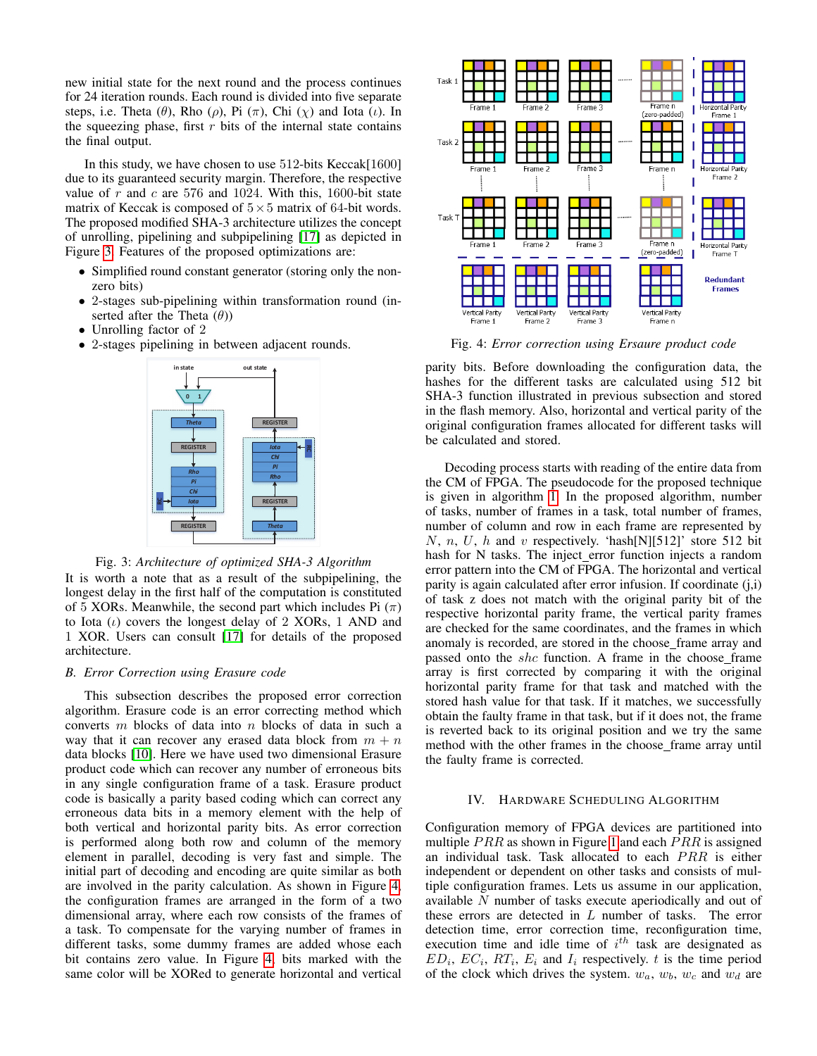new initial state for the next round and the process continues for 24 iteration rounds. Each round is divided into five separate steps, i.e. Theta ( $\theta$ ), Rho ( $\rho$ ), Pi ( $\pi$ ), Chi ( $\chi$ ) and Iota (*ι*). In the squeezing phase, first  $r$  bits of the internal state contains the final output.

In this study, we have chosen to use 512-bits Keccak[1600] due to its guaranteed security margin. Therefore, the respective value of r and c are 576 and 1024. With this, 1600-bit state matrix of Keccak is composed of  $5 \times 5$  matrix of 64-bit words. The proposed modified SHA-3 architecture utilizes the concept of unrolling, pipelining and subpipelining [\[17\]](#page-5-17) as depicted in Figure [3.](#page-2-1) Features of the proposed optimizations are:

- Simplified round constant generator (storing only the nonzero bits)
- 2-stages sub-pipelining within transformation round (inserted after the Theta  $(\theta)$ )
- Unrolling factor of 2
- <span id="page-2-1"></span>• 2-stages pipelining in between adjacent rounds.





It is worth a note that as a result of the subpipelining, the longest delay in the first half of the computation is constituted of 5 XORs. Meanwhile, the second part which includes Pi  $(\pi)$ to Iota  $(\iota)$  covers the longest delay of 2 XORs, 1 AND and 1 XOR. Users can consult [\[17\]](#page-5-17) for details of the proposed architecture.

### *B. Error Correction using Erasure code*

This subsection describes the proposed error correction algorithm. Erasure code is an error correcting method which converts m blocks of data into n blocks of data in such a way that it can recover any erased data block from  $m + n$ data blocks [\[10\]](#page-5-9). Here we have used two dimensional Erasure product code which can recover any number of erroneous bits in any single configuration frame of a task. Erasure product code is basically a parity based coding which can correct any erroneous data bits in a memory element with the help of both vertical and horizontal parity bits. As error correction is performed along both row and column of the memory element in parallel, decoding is very fast and simple. The initial part of decoding and encoding are quite similar as both are involved in the parity calculation. As shown in Figure [4,](#page-2-2) the configuration frames are arranged in the form of a two dimensional array, where each row consists of the frames of a task. To compensate for the varying number of frames in different tasks, some dummy frames are added whose each bit contains zero value. In Figure [4,](#page-2-2) bits marked with the same color will be XORed to generate horizontal and vertical

<span id="page-2-2"></span>

Fig. 4: *Error correction using Ersaure product code*

parity bits. Before downloading the configuration data, the hashes for the different tasks are calculated using 512 bit SHA-3 function illustrated in previous subsection and stored in the flash memory. Also, horizontal and vertical parity of the original configuration frames allocated for different tasks will be calculated and stored.

Decoding process starts with reading of the entire data from the CM of FPGA. The pseudocode for the proposed technique is given in algorithm [1.](#page-3-0) In the proposed algorithm, number of tasks, number of frames in a task, total number of frames, number of column and row in each frame are represented by N, n, U, h and v respectively. 'hash[N][512]' store 512 bit hash for N tasks. The inject\_error function injects a random error pattern into the CM of FPGA. The horizontal and vertical parity is again calculated after error infusion. If coordinate (j,i) of task z does not match with the original parity bit of the respective horizontal parity frame, the vertical parity frames are checked for the same coordinates, and the frames in which anomaly is recorded, are stored in the choose frame array and passed onto the shc function. A frame in the choose frame array is first corrected by comparing it with the original horizontal parity frame for that task and matched with the stored hash value for that task. If it matches, we successfully obtain the faulty frame in that task, but if it does not, the frame is reverted back to its original position and we try the same method with the other frames in the choose frame array until the faulty frame is corrected.

### IV. HARDWARE SCHEDULING ALGORITHM

<span id="page-2-0"></span>Configuration memory of FPGA devices are partitioned into multiple  $PRR$  as shown in Figure [1](#page-0-0) and each  $PRR$  is assigned an individual task. Task allocated to each  $PRR$  is either independent or dependent on other tasks and consists of multiple configuration frames. Lets us assume in our application, available N number of tasks execute aperiodically and out of these errors are detected in L number of tasks. The error detection time, error correction time, reconfiguration time, execution time and idle time of  $i^{th}$  task are designated as  $ED_i$ ,  $EC_i$ ,  $RT_i$ ,  $E_i$  and  $I_i$  respectively. t is the time period of the clock which drives the system.  $w_a$ ,  $w_b$ ,  $w_c$  and  $w_d$  are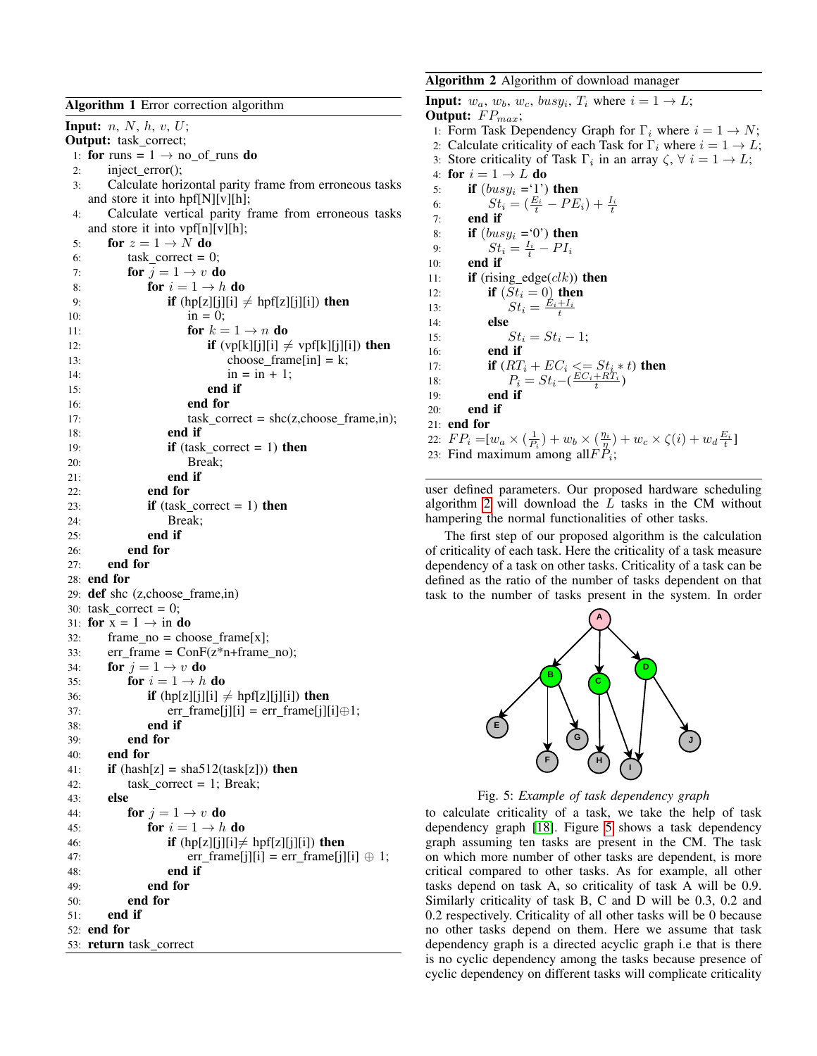<span id="page-3-0"></span>Algorithm 1 Error correction algorithm Input:  $n, N, h, v, U;$ Output: task correct; 1: for runs =  $1 \rightarrow$  no of runs do 2: inject\_error(); 3: Calculate horizontal parity frame from erroneous tasks and store it into hpf[N][v][h]; 4: Calculate vertical parity frame from erroneous tasks and store it into vpf[n][v][h]; 5: for  $z = 1 \rightarrow N$  do 6: task correct  $= 0$ ; 7: **for**  $j = 1 \rightarrow v$  **do** 8: **for**  $i = 1 \rightarrow h$  **do** 9: **if**  $(hp[z][j][i] \neq hpf[z][j][i])$  then 10:  $\text{in} = 0;$ 11: **for**  $k = 1 \rightarrow n$  **do** 12: **if**  $(vp[k][j][i] \neq vpf[k][j][i])$  then 13: choose\_frame[in] = k; 14:  $\text{in} = \text{in} + 1;$ 15: end if 16: end for 17:  $task\_correct = she(z, choose\_frame,in);$ 18: end if 19: **if** (task\_correct = 1) **then** 20: Break; 21: end if 22: end for 23: **if** (task\_correct = 1) **then** 24: Break; 25: end if 26: end for 27: end for 28: end for 29: def shc (z,choose frame,in) 30: task\_correct =  $0$ ; 31: for  $x = 1 \rightarrow in$  do 32: frame  $no = choose_f$  frame  $[x]$ ; 33:  $err_f$ frame =  $ConF(z*n+f$ rame\_no); 34: **for**  $j = 1 \rightarrow v$  **do** 35: **for**  $i = 1 \rightarrow h$  **do** 36: **if**  $(hp[z][j][i] \neq hpf[z][j][i])$  then 37: err\_frame[j][i] = err\_frame[j][i] $\oplus$ 1; 38: end if 39: end for 40: end for 41: **if**  $(hash[z] = sha512(task[z]))$  then 42:  $task\_correct = 1; Break;$ 43: else 44: **for**  $j = 1 \rightarrow v$  **do** 45: **for**  $i = 1 \rightarrow h$  **do** 

```
46: if (hp[z][j][i] \neq hpf[z][j][i]) then
47: err_frame[j][i] = err_frame[j][i] \oplus 1;
48: end if
49: end for
50: end for
51: end if
52: end for
53: return task_correct
```
## <span id="page-3-1"></span>Algorithm 2 Algorithm of download manager

**Input:**  $w_a$ ,  $w_b$ ,  $w_c$ ,  $busy_i$ ,  $T_i$  where  $i = 1 \rightarrow L$ ; Output:  $FP_{max}$ ; 1: Form Task Dependency Graph for  $\Gamma_i$  where  $i = 1 \rightarrow N$ ; 2: Calculate criticality of each Task for  $\Gamma_i$  where  $i = 1 \rightarrow L$ ; 3: Store criticality of Task  $\Gamma_i$  in an array  $\zeta$ ,  $\forall i = 1 \rightarrow L$ ; 4: for  $i = 1 \rightarrow L$  do 5: **if**  $(busy_i = '1')$  then 6:  $St_i = (\frac{E_i}{t} - PE_i) + \frac{I_i}{t}$ 7: end if 8: if  $(busy_i = 0')$  then 9:  $St_i = \frac{I_i}{t} - PI_i$ 10: end if 11: **if** (rising edge( $clk$ )) then 12: **if**  $(St_i = 0)$  then 13:  $St_i = \frac{E_i + I_i}{t}$ 14: else 15:  $St_i = St_i - 1;$ 16: end if 17: **if**  $(RT_i + EC_i \leq St_i * t)$  then 18:  $P_i = St_i - (\frac{EC_i + RT_i}{t})$ 19: end if 20: end if 21: end for 22:  $FP_i = [w_a \times (\frac{1}{P_i}) + w_b \times (\frac{\eta_i}{T}) + w_c \times \zeta(i) + w_d \frac{E_i}{t}]$ 23: Find maximum among all $FP_i$ ;

user defined parameters. Our proposed hardware scheduling algorithm  $2$  will download the  $L$  tasks in the CM without hampering the normal functionalities of other tasks.

The first step of our proposed algorithm is the calculation of criticality of each task. Here the criticality of a task measure dependency of a task on other tasks. Criticality of a task can be defined as the ratio of the number of tasks dependent on that task to the number of tasks present in the system. In order

<span id="page-3-2"></span>

Fig. 5: *Example of task dependency graph*

to calculate criticality of a task, we take the help of task dependency graph [\[18\]](#page-5-18). Figure [5](#page-3-2) shows a task dependency graph assuming ten tasks are present in the CM. The task on which more number of other tasks are dependent, is more critical compared to other tasks. As for example, all other tasks depend on task A, so criticality of task A will be 0.9. Similarly criticality of task B, C and D will be 0.3, 0.2 and 0.2 respectively. Criticality of all other tasks will be 0 because no other tasks depend on them. Here we assume that task dependency graph is a directed acyclic graph i.e that is there is no cyclic dependency among the tasks because presence of cyclic dependency on different tasks will complicate criticality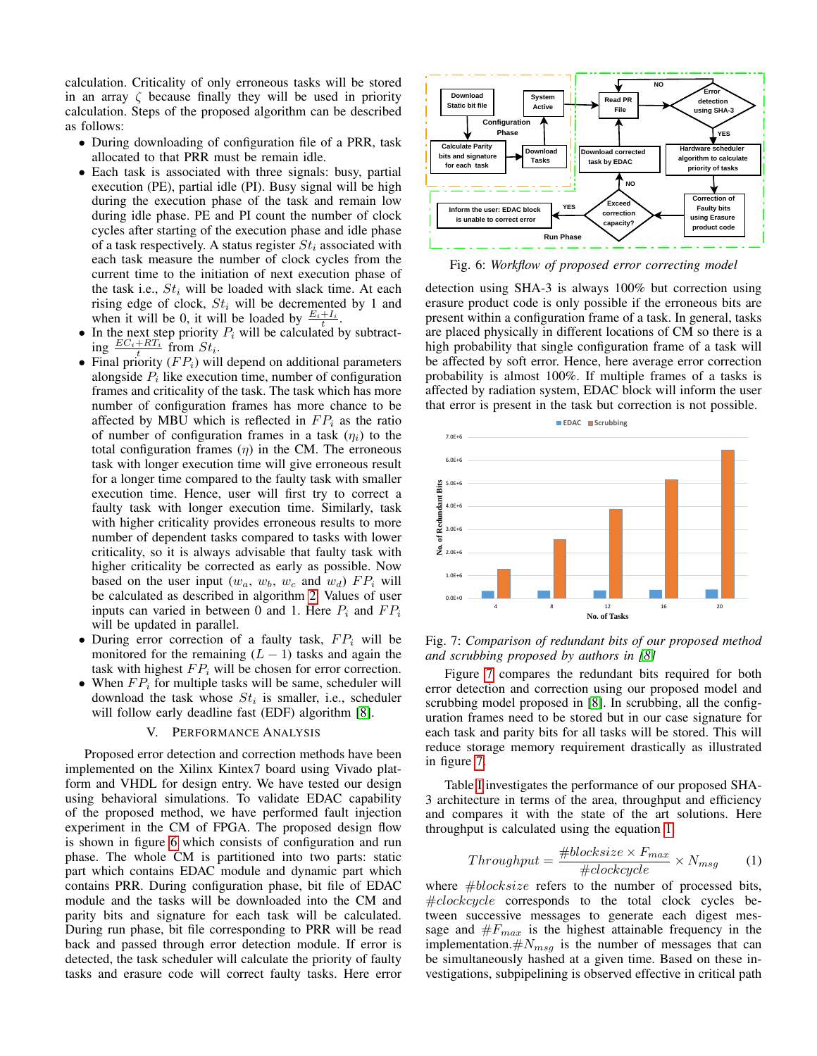calculation. Criticality of only erroneous tasks will be stored in an array  $\zeta$  because finally they will be used in priority calculation. Steps of the proposed algorithm can be described as follows:

- During downloading of configuration file of a PRR, task allocated to that PRR must be remain idle.
- Each task is associated with three signals: busy, partial execution (PE), partial idle (PI). Busy signal will be high during the execution phase of the task and remain low during idle phase. PE and PI count the number of clock cycles after starting of the execution phase and idle phase of a task respectively. A status register  $St_i$  associated with each task measure the number of clock cycles from the current time to the initiation of next execution phase of the task i.e.,  $St_i$  will be loaded with slack time. At each rising edge of clock,  $St_i$  will be decremented by 1 and when it will be 0, it will be loaded by  $\frac{E_i+I_i}{t}$ .
- In the next step priority  $P_i$  will be calculated by subtract- $\lim_{t \to \infty} \frac{EC_i + RT_i}{t}$  from  $St_i$ .
- Final priority  $(FP_i)$  will depend on additional parameters alongside  $P_i$  like execution time, number of configuration frames and criticality of the task. The task which has more number of configuration frames has more chance to be affected by MBU which is reflected in  $FP_i$  as the ratio of number of configuration frames in a task  $(\eta_i)$  to the total configuration frames  $(\eta)$  in the CM. The erroneous task with longer execution time will give erroneous result for a longer time compared to the faulty task with smaller execution time. Hence, user will first try to correct a faulty task with longer execution time. Similarly, task with higher criticality provides erroneous results to more number of dependent tasks compared to tasks with lower criticality, so it is always advisable that faulty task with higher criticality be corrected as early as possible. Now based on the user input  $(w_a, w_b, w_c \text{ and } w_d)$   $FP_i$  will be calculated as described in algorithm [2.](#page-3-1) Values of user inputs can varied in between 0 and 1. Here  $P_i$  and  $FP_i$ will be updated in parallel.
- During error correction of a faulty task,  $FP_i$  will be monitored for the remaining  $(L - 1)$  tasks and again the task with highest  $FP_i$  will be chosen for error correction.
- When  $FP_i$  for multiple tasks will be same, scheduler will download the task whose  $St_i$  is smaller, i.e., scheduler will follow early deadline fast (EDF) algorithm [\[8\]](#page-5-7).

### V. PERFORMANCE ANALYSIS

<span id="page-4-0"></span>Proposed error detection and correction methods have been implemented on the Xilinx Kintex7 board using Vivado platform and VHDL for design entry. We have tested our design using behavioral simulations. To validate EDAC capability of the proposed method, we have performed fault injection experiment in the CM of FPGA. The proposed design flow is shown in figure [6](#page-4-1) which consists of configuration and run phase. The whole CM is partitioned into two parts: static part which contains EDAC module and dynamic part which contains PRR. During configuration phase, bit file of EDAC module and the tasks will be downloaded into the CM and parity bits and signature for each task will be calculated. During run phase, bit file corresponding to PRR will be read back and passed through error detection module. If error is detected, the task scheduler will calculate the priority of faulty tasks and erasure code will correct faulty tasks. Here error

<span id="page-4-1"></span>

Fig. 6: *Workflow of proposed error correcting model*

detection using SHA-3 is always 100% but correction using erasure product code is only possible if the erroneous bits are present within a configuration frame of a task. In general, tasks are placed physically in different locations of CM so there is a high probability that single configuration frame of a task will be affected by soft error. Hence, here average error correction probability is almost 100%. If multiple frames of a tasks is affected by radiation system, EDAC block will inform the user that error is present in the task but correction is not possible.

<span id="page-4-2"></span>

Fig. 7: *Comparison of redundant bits of our proposed method and scrubbing proposed by authors in [\[8\]](#page-5-7)*

Figure [7](#page-4-2) compares the redundant bits required for both error detection and correction using our proposed model and scrubbing model proposed in [\[8\]](#page-5-7). In scrubbing, all the configuration frames need to be stored but in our case signature for each task and parity bits for all tasks will be stored. This will reduce storage memory requirement drastically as illustrated in figure [7.](#page-4-2)

Table [I](#page-5-19) investigates the performance of our proposed SHA-3 architecture in terms of the area, throughput and efficiency and compares it with the state of the art solutions. Here throughput is calculated using the equation [1.](#page-4-3)

<span id="page-4-3"></span>
$$
Throughput = \frac{\# blocksize \times F_{max}}{\# clockwise}
$$
 × N<sub>msg</sub> (1)

where  $#block size$  refers to the number of processed bits, #clockcycle corresponds to the total clock cycles between successive messages to generate each digest message and  $#F_{max}$  is the highest attainable frequency in the implementation.  $\#N_{msg}$  is the number of messages that can be simultaneously hashed at a given time. Based on these investigations, subpipelining is observed effective in critical path